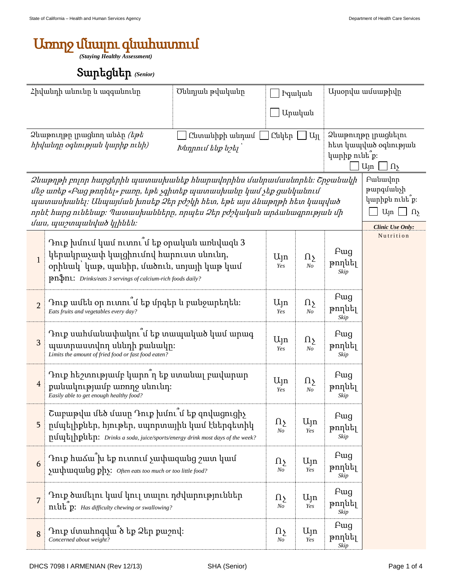## Առողջ մնալու գնահատում

*(Staying Healthy Assessment)*

## Տարեցներ *(Senior)*

| Հիվանդի անունը և ազգանունը                                                                                                                                                                                                                                                                                              |                                                                                                                                                                                                         | Ծննդյան թվականը               | Իգական                   |                       |                       | Այսօրվա ամսաթիվը                                                                                          |  |
|-------------------------------------------------------------------------------------------------------------------------------------------------------------------------------------------------------------------------------------------------------------------------------------------------------------------------|---------------------------------------------------------------------------------------------------------------------------------------------------------------------------------------------------------|-------------------------------|--------------------------|-----------------------|-----------------------|-----------------------------------------------------------------------------------------------------------|--|
|                                                                                                                                                                                                                                                                                                                         |                                                                                                                                                                                                         |                               |                          | Արական                |                       |                                                                                                           |  |
| Ձևաթուղթը լրացնող անձը <i>(եթե</i><br>Ընտանիքի անդամ<br>hիվանդը օգնության կարիք ունի)<br>Խնդրում ենք նշել                                                                                                                                                                                                               |                                                                                                                                                                                                         |                               | Ընկեր<br>$\Box$ $U_{11}$ |                       |                       | Ձևաթուղթը լրացնելու<br>հետ կապված օգնության<br>կարիք ունե՞ք։<br>Այո<br>$\ln$                              |  |
| Ձևաթղթի բոլոր հարցերին պատասխանեք հնարավորինս մանրամասնորեն։ Շրջանակի<br>մեջ առեք «Բաց թողնել» բառը, եթե չգիտեք պատասխանը կամ չեք ցանկանում<br>պատասխանել։ Անպայման խոսեք Ձեր բժշկի հետ, եթե այս ձևաթղթի հետ կապված<br>որևէ հարց ունենաք։ Պատասխանները, որպես Ձեր բժշկական արձանագրության մի<br>մաս, պաշտպանված կլինեն։ |                                                                                                                                                                                                         |                               |                          |                       |                       | Բանավոր<br>թարգմանչի<br>կարիքն ունե՞ք։<br>$U_{\parallel}$ n<br>$\Box$ $\Omega$<br><b>Clinic Use Only:</b> |  |
| $\mathbf{1}$                                                                                                                                                                                                                                                                                                            | Դուք խմում կամ ուտու՞մ եք օրական առնվազն 3<br>կերակրաչափ կալցիումով հարուստ սնունդ,<br>օրինակ՝ կաթ, պանիր, մածուն, սոյայի կաթ կամ<br><b>pn\$n1:</b> Drinks/eats 3 servings of calcium-rich foods daily? | $U_{\vert}$ n<br>Yes          | $\Omega$<br>No           | Fwg<br>թողնել<br>Skip | Nutrition             |                                                                                                           |  |
| $\overline{2}$                                                                                                                                                                                                                                                                                                          | Դուք ամեն օր ուտու՞մ եք մրգեր և բանջարեղեն։<br>Eats fruits and vegetables every day?                                                                                                                    | $U_{\vert}$ n<br>Yes          | $\Omega$<br>No           | Fwg<br>թողնել<br>Skip |                       |                                                                                                           |  |
| $\mathbf{3}$                                                                                                                                                                                                                                                                                                            | Դուք սահմանափակու՞մ եք տապակած կամ արագ<br>պատրաստվող սննդի քանակը։<br>Limits the amount of fried food or fast food eaten?                                                                              | $U_{\vert}$ n<br>Yes          | Ωչ<br>No                 | Fwg<br>թողնել<br>Skip |                       |                                                                                                           |  |
| $\overline{4}$                                                                                                                                                                                                                                                                                                          | Դուք հեշտությամբ կարո՞ղ եք ստանալ բավարար<br>քանակությամբ առողջ սնունդ։<br>Easily able to get enough healthy food?                                                                                      | $U_{\parallel}$ n<br>Yes      | Ωչ<br>No                 | Fwg<br>թողնել<br>Skip |                       |                                                                                                           |  |
| 5                                                                                                                                                                                                                                                                                                                       | Շաբաթվա մեծ մասը Դուք խմու՞մ եք զովացուցիչ<br>րմպելիքներ, հյութեր, սպորտային կամ էներգետիկ<br>pululalpilum: Drinks a soda, juice/sports/energy drink most days of the week?                             | $\Omega$<br>N <sub>O</sub>    | Ujn<br>Yes               | Fwg<br>թողնել<br>Skip |                       |                                                                                                           |  |
| 6                                                                                                                                                                                                                                                                                                                       | Դուք հաձա՞խ եք ուտում չափազանց շատ կամ<br><i>suuhuuquuug phs: Often eats too much or too little food?</i>                                                                                               | $\Omega_{\Sigma}$<br>$\it No$ | Այո<br>Yes               | Fwg<br>թողնել<br>Skip |                       |                                                                                                           |  |
| $\overline{7}$                                                                                                                                                                                                                                                                                                          | Դուք ծամելու կամ կուլ տալու դժվարություններ<br>niutip: Has difficulty chewing or swallowing?                                                                                                            |                               |                          | Ujn<br>Yes            | Fwg<br>թողնել<br>Skip |                                                                                                           |  |
| $\bf 8$                                                                                                                                                                                                                                                                                                                 | Դուք մտահոգվա՞ծ եք Ձեր քաշով։<br>Concerned about weight?                                                                                                                                                | Ωչ<br>No                      | $U_{\parallel}$ n<br>Yes | Fwg<br>թողնել<br>Skip |                       |                                                                                                           |  |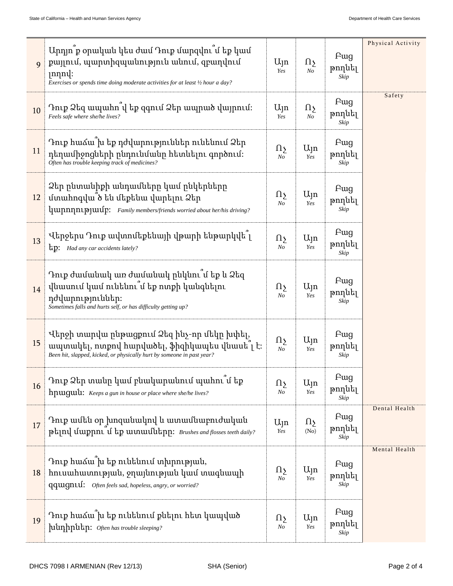|              | Արդյո՞ք օրական կես ժամ Դուք մարզվու՞մ եք կամ                                                                                                                              |                            |                            |                               | Physical Activity |
|--------------|---------------------------------------------------------------------------------------------------------------------------------------------------------------------------|----------------------------|----------------------------|-------------------------------|-------------------|
| $\mathbf{Q}$ | քայլում, պարտիզպանություն անում, զբաղվում<br>$ nnn$ .<br>Exercises or spends time doing moderate activities for at least 1/2 hour a day?                                  | $U_{\vert}$ n<br>Yes       | $\Omega$<br>N <sub>O</sub> | Fwg<br>թողնել<br>Skip         |                   |
| 10           | Դուք Ձեզ ապահո՞վ եք զգում Ձեր ապրած վայրում։<br>Feels safe where she/he lives?                                                                                            |                            | Ωչ<br>N <sub>O</sub>       | <b>F</b> ug<br>թողնել<br>Skip | Safety            |
| 11           | Դուք հաձա՞խ եք դժվարություններ ունենում Ձեր<br>դեղամիջոցների ընդունմանը հետևելու գործում։<br>Often has trouble keeping track of medicines?                                |                            | $U_{\vert}$ n<br>Yes       | Fwg<br>թողնել<br>Skip         |                   |
| 12           | Ձեր ընտանիքի անդամները կամ ընկերները<br>մտահոգվա՞ծ են մեքենա վարելու Ձեր<br>luunnnnnpuuufp: Family members/friends worried about her/his driving?                         |                            | $U_{1}$ n<br>Yes           | Fwg<br>թողնել<br>Skip         |                   |
| 13           | Վերջերս Դուք ավտոմեքենայի վթարի ենթարկվե՞լ<br>tip: Had any car accidents lately?                                                                                          | $\Omega$<br>N <sub>O</sub> | $U_{1}$<br>Yes             | Pug<br>թողնել<br>Skip         |                   |
| 14           | Դուք ժամանակ առ ժամանակ ընկնու՞մ եք և Ձեզ<br>վնասում կամ ունենու՞մ եք ոտքի կանգնելու<br>դժվարություններ։<br>Sometimes falls and hurts self, or has difficulty getting up? |                            | $U_{\vert}$ n<br>Yes       | Pug<br>թողնել<br>Skip         |                   |
| 15           | Վերջի տարվա ընթացքում Ձեզ ինչ-որ մեկը խփել,<br>ապտակել, ոտքով հարվածել, ֆիզիկապես վնասե՞լ է։<br>Been hit, slapped, kicked, or physically hurt by someone in past year?    |                            | Ujn<br>Yes                 | Fwg<br>թողնել<br>Skip         |                   |
| 16           | Դուք Ձեր տանը կամ բնակարանում պահու՞մ եք<br>hpuiguul: Keeps a gun in house or place where she/he lives?                                                                   | $\Omega$<br>$N o$          | $U_{\parallel}$ n<br>Yes   | <b>F</b> ug<br>թողնել<br>Skip |                   |
| 17           | Դուք ամեն օր խոզանակով և ատամնաբուժական<br>ptind umpni u tp wunwulutinn: Brushes and flosses teeth daily?                                                                 | $U_{\vert n}$<br>Yes       | $\Omega$<br>(No)           | Pug<br>թողնել<br>Skip         | Dental Health     |
| 18           | Դուք հաձա՞խ եք ունենում տխրության,<br>hnւսահատության, ջղայնության կամ տագնապի<br>qquigniuf: Often feels sad, hopeless, angry, or worried?                                 | $\Omega$<br>$N_{O}$        | Ujn<br>Yes                 | <b>F</b> ug<br>թողնել<br>Skip | Mental Health     |
| 19           | Դուք հաձա՜խ եք ունենում քնելու հետ կապված<br>hiunhputin: Often has trouble sleeping?                                                                                      | $\Omega$<br>$N_{O}$        | $U_{\parallel}$ n<br>Yes   | <b>F</b> ug<br>թողնել<br>Skip |                   |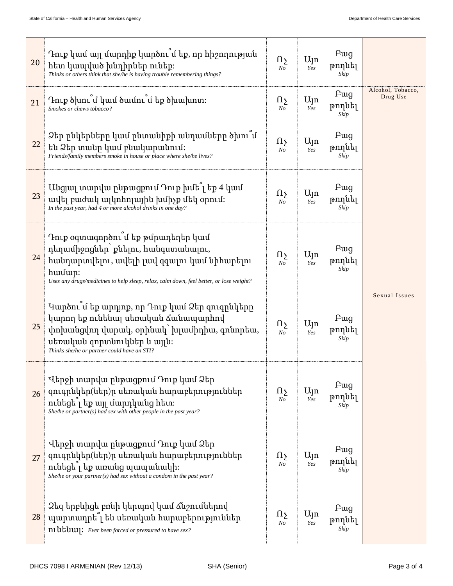| 20 | Դուք կամ այլ մարդիք կարծու՞մ եք, որ հիշողության<br>հետ կապված խնդիրներ ունեք։<br>Thinks or others think that she/he is having trouble remembering things?                                                                         | Ωչ<br>No                   | $U_{1}$<br>Yes           | <b>F</b> ug<br>թողնել<br>Skip |                               |
|----|-----------------------------------------------------------------------------------------------------------------------------------------------------------------------------------------------------------------------------------|----------------------------|--------------------------|-------------------------------|-------------------------------|
| 21 | Դուք ծխու՞մ կամ ծամու՞մ եք ծխախոտ։<br>Smokes or chews tobacco?                                                                                                                                                                    | Ωչ<br>No                   | $U_{\parallel}$ n<br>Yes | Fwg<br>թողնել<br>Skip         | Alcohol, Tobacco,<br>Drug Use |
| 22 | Ձեր ընկերները կամ ընտանիքի անդամները ծխու՞մ<br>են Ձեր տանը կամ բնակարանում։<br>Friends/family members smoke in house or place where she/he lives?                                                                                 | Ωչ<br>No                   | $U_{\parallel}$ n<br>Yes | Pug<br>թողնել<br>Skip         |                               |
| 23 | Անցյալ տարվա ընթացքում Դուք խմե՞լ եք 4 կամ<br>ավել բաժակ ալկոհոլային խմիչք մեկ օրում։<br>In the past year, had 4 or more alcohol drinks in one day?                                                                               | Ωչ<br>N <sub>O</sub>       | $U_{1}$<br>Yes           | <b>F</b> ug<br>թողնել<br>Skip |                               |
| 24 | Դուք օգտագործու՞մ եք թմրադեղեր կամ<br>դեղամիջոցներ՝ քնելու, հանգստանալու,<br>հանդարտվելու, ավելի լավ զգալու կամ նիհարելու<br>$h$ wudup:<br>Uses any drugs/medicines to help sleep, relax, calm down, feel better, or lose weight? | $\Omega$<br>N <sub>O</sub> | $U_{\parallel}$ n<br>Yes | Pug<br>թողնել<br>Skip         |                               |
| 25 | Կարծու՞մ եք արդյոք, որ Դուք կամ Ձեր զուգրնկերը<br>կարող եք ունենալ սեռական ձանապարհով<br>փոխանցվող վարակ, օրինակ՝ խլամիդիա, գոնորեա,<br>սեռական գորտնուկներ և այլն։<br>Thinks she/he or partner could have an STI?                |                            | $U_{\parallel}$ n<br>Yes | Fwg<br>թողնել<br>Skip         | Sexual Issues                 |
| 26 | Վերջի տարվա ընթացքում Դուք կամ Ձեր<br>զուգրնկեր(ներ)ը սեռական հարաբերություններ<br>ունեցել եք այլ մարդկանց հետ։<br>She/he or partner(s) had sex with other people in the past year?                                               | Ωչ<br>No                   | $U_{\parallel}$ n<br>Yes | <b>F</b> ug<br>թողնել<br>Skip |                               |
| 27 | Վերջի տարվա ընթացքում Դուք կամ Ձեր<br>զուգրնկեր(ներ)ը սեռական հարաբերություններ<br>ունեցե <sup>1</sup> եք առանց պապանակի։<br>She/he or your partner(s) had sex without a condom in the past year?                                 | Ωչ<br>No                   | $U_{\parallel}$ n<br>Yes | Pug<br>թողնել<br>Skip         |                               |
| 28 | Ձեզ երբևիցե բռնի կերպով կամ ձնշումներով<br>պարտադրե՞լ են սեռական հարաբերություններ<br>ntutium: Ever been forced or pressured to have sex?                                                                                         | Ωչ<br>No                   | $U_{\parallel}$ n<br>Yes | Fwg<br>թողնել<br>Skip         |                               |